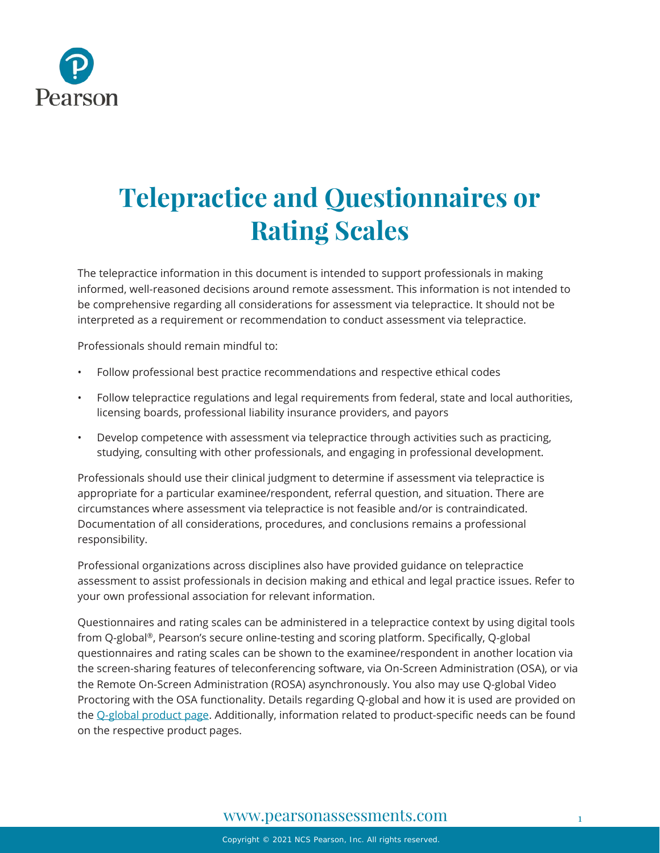

# **Telepractice and Questionnaires or Rating Scales**

The telepractice information in this document is intended to support professionals in making informed, well-reasoned decisions around remote assessment. This information is not intended to be comprehensive regarding all considerations for assessment via telepractice. It should not be interpreted as a requirement or recommendation to conduct assessment via telepractice.

Professionals should remain mindful to:

- Follow professional best practice recommendations and respective ethical codes
- Follow telepractice regulations and legal requirements from federal, state and local authorities, licensing boards, professional liability insurance providers, and payors
- Develop competence with assessment via telepractice through activities such as practicing, studying, consulting with other professionals, and engaging in professional development.

Professionals should use their clinical judgment to determine if assessment via telepractice is appropriate for a particular examinee/respondent, referral question, and situation. There are circumstances where assessment via telepractice is not feasible and/or is contraindicated. Documentation of all considerations, procedures, and conclusions remains a professional responsibility.

Professional organizations across disciplines also have provided guidance on telepractice assessment to assist professionals in decision making and ethical and legal practice issues. Refer to your own professional association for relevant information.

Questionnaires and rating scales can be administered in a telepractice context by using digital tools from Q-global ®, Pearson's secure online-testing and scoring platform. Specifically, Q-global questionnaires and rating scales can be shown to the examinee/respondent in another location via the screen-sharing features of teleconferencing software, via On-Screen Administration (OSA), or via the Remote On-Screen Administration (ROSA) asynchronously. You also may use Q-global Video Proctoring with the OSA functionality. Details regarding Q-global and how it is used are provided on the Q-global product page. Additionally, information related to product-specific needs can be found on the respective product pages.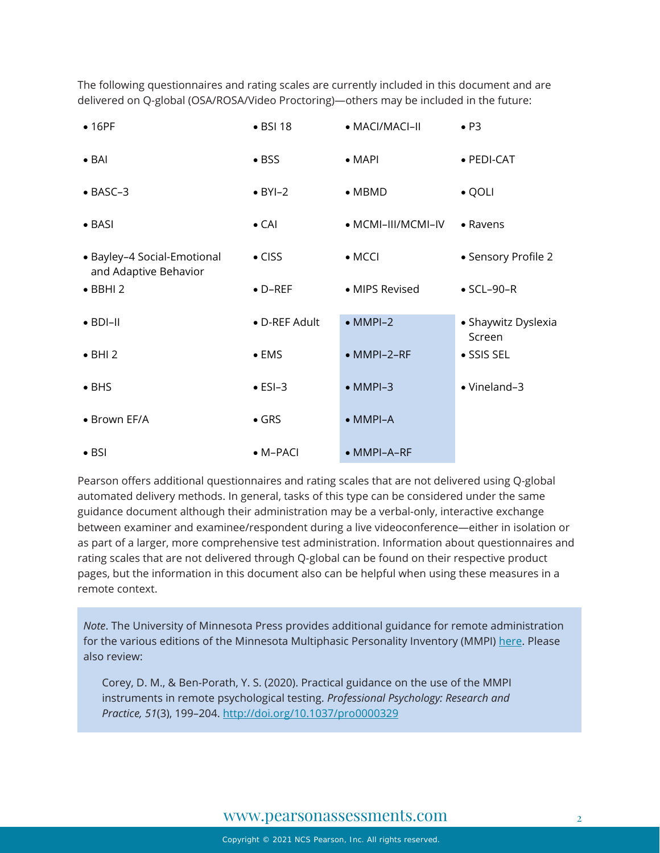The following questionnaires and rating scales are currently included in this document and are delivered on Q-global (OSA/ROSA/Video Proctoring)—others may be included in the future:

| • 16PF                                               | $\bullet$ BSI 18 | • MACI/MACI-II      | $\bullet$ P3                  |
|------------------------------------------------------|------------------|---------------------|-------------------------------|
| $\bullet$ BAI                                        | $\bullet$ BSS    | $\bullet$ MAPI      | • PEDI-CAT                    |
| $\bullet$ BASC-3                                     | $\bullet$ BYI-2  | $\bullet$ MBMD      | $\bullet$ QOLI                |
| $\bullet$ BASI                                       | $\bullet$ CAI    | • MCMI-III/MCMI-IV  | • Ravens                      |
| • Bayley-4 Social-Emotional<br>and Adaptive Behavior | $\bullet$ CISS   | $\bullet$ MCCI      | • Sensory Profile 2           |
| $\bullet$ BBHI 2                                     | $\bullet$ D-REF  | • MIPS Revised      | $\bullet$ SCL-90-R            |
| $\bullet$ BDI-II                                     | • D-REF Adult    | $\bullet$ MMPI-2    | · Shaywitz Dyslexia<br>Screen |
| $\bullet$ BHI 2                                      | $\bullet$ EMS    | $\bullet$ MMPI-2-RF | · SSIS SEL                    |
| $\bullet$ BHS                                        | $\bullet$ ESI-3  | $\bullet$ MMPI-3    | • Vineland-3                  |
| • Brown EF/A                                         | $\bullet$ GRS    | $\bullet$ MMPI-A    |                               |
| $\bullet$ BSI                                        | $\bullet$ M-PACI | $\bullet$ MMPI-A-RF |                               |

Pearson offers additional questionnaires and rating scales that are not delivered using Q-global automated delivery methods. In general, tasks of this type can be considered under the same guidance document although their administration may be a verbal-only, interactive exchange between examiner and examinee/respondent during a live videoconference—either in isolation or as part of a larger, more comprehensive test administration. Information about questionnaires and rating scales that are not delivered through Q-global can be found on their respective product pages, but the information in this document also can be helpful when using these measures in a remote context.

*Note*. The University of Minnesota Press provides additional guidance for remote administration for the various editions of the Minnesota Multiphasic Personality Inventory (MMPI) [here.](https://www.upress.umn.edu/test-division/mmpi-instruments-remote-administration) Please also review:

Corey, D. M., & Ben-Porath, Y. S. (2020). Practical guidance on the use of the MMPI instruments in remote psychological testing. *Professional Psychology: Research and Practice, 51*(3), 199–204. [http://doi.org/10.1037/pro0000329](https://nam02.safelinks.protection.outlook.com/?url=http%3A%2F%2Fdoi.org%2F10.1037%2Fpro0000329&data=04%7C01%7CAnne.Trominski%40Pearson.com%7Cf7925f7292754434980b08d981d0b2d5%7C8cc434d797d047d3b5c514fe0e33e34b%7C0%7C0%7C637683555613649343%7CUnknown%7CTWFpbGZsb3d8eyJWIjoiMC4wLjAwMDAiLCJQIjoiV2luMzIiLCJBTiI6Ik1haWwiLCJXVCI6Mn0%3D%7C1000&sdata=wjBNSPUu%2BbrWMsEhjnC8qBC4od%2FZ21%2FFLfzK%2BByuUIg%3D&reserved=0)

#### [www.pearsonassessments.com](http://www.pearsonassessments.com/) 2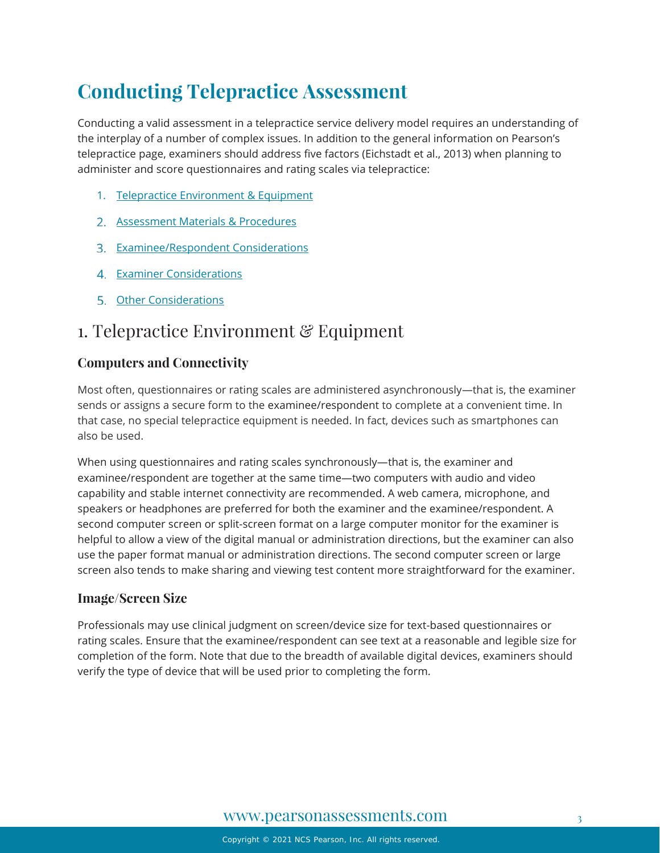# **Conducting Telepractice Assessment**

Conducting a valid assessment in a telepractice service delivery model requires an understanding of the interplay of a number of complex issues. In addition to the general information on Pearson's telepractice page, examiners should address five factors (Eichstadt et al., 2013) when planning to administer and score questionnaires and rating scales via telepractice:

- 1. [Telepractice Environment & Equipment](#page-2-0)
- [Assessment Materials & Procedures](#page-4-0)
- 3. [Examinee/Respondent](#page-5-0) Considerations
- 4. [Examiner Considerations](#page-6-0)
- 5. [Other Considerations](#page-7-0)

### <span id="page-2-0"></span>1. Telepractice Environment & Equipment

#### **Computers and Connectivity**

Most often, questionnaires or rating scales are administered asynchronously—that is, the examiner sends or assigns a secure form to the examinee/respondent to complete at a convenient time. In that case, no special telepractice equipment is needed. In fact, devices such as smartphones can also be used.

When using questionnaires and rating scales synchronously—that is, the examiner and examinee/respondent are together at the same time—two computers with audio and video capability and stable internet connectivity are recommended. A web camera, microphone, and speakers or headphones are preferred for both the examiner and the examinee/respondent. A second computer screen or split-screen format on a large computer monitor for the examiner is helpful to allow a view of the digital manual or administration directions, but the examiner can also use the paper format manual or administration directions. The second computer screen or large screen also tends to make sharing and viewing test content more straightforward for the examiner.

#### **Image/Screen Size**

Professionals may use clinical judgment on screen/device size for text-based questionnaires or rating scales. Ensure that the examinee/respondent can see text at a reasonable and legible size for completion of the form. Note that due to the breadth of available digital devices, examiners should verify the type of device that will be used prior to completing the form.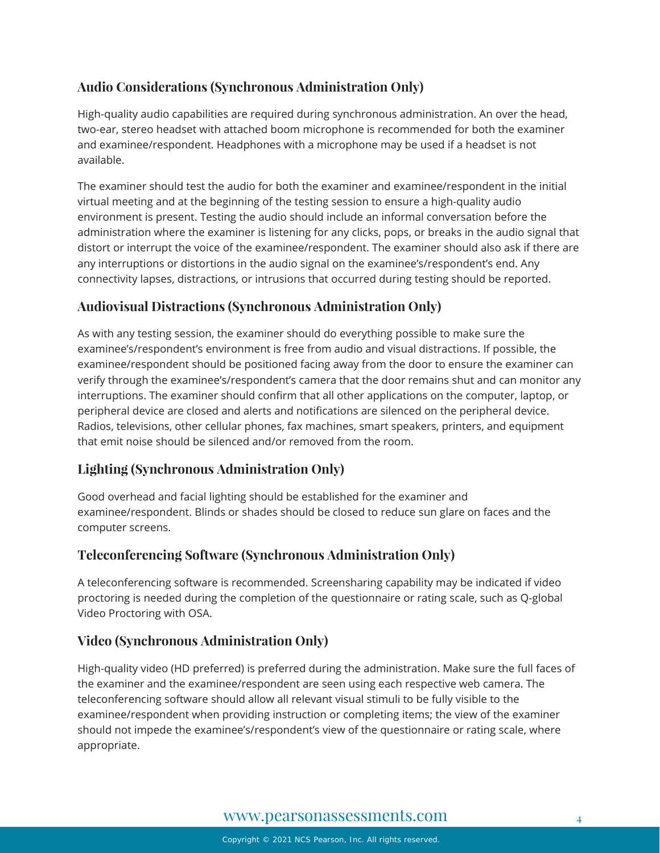#### **Audio Considerations (Synchronous Administration Only)**

High-quality audio capabilities are required during synchronous administration. An over the head, two-ear, stereo headset with attached boom microphone is recommended for both the examiner and examinee/respondent. Headphones with a microphone may be used if a headset is not available.

The examiner should test the audio for both the examiner and examinee/respondent in the initial virtual meeting and at the beginning of the testing session to ensure a high-quality audio environment is present. Testing the audio should include an informal conversation before the administration where the examiner is listening for any clicks, pops, or breaks in the audio signal that distort or interrupt the voice of the examinee/respondent. The examiner should also ask if there are any interruptions or distortions in the audio signal on the examinee's/respondent's end. Any connectivity lapses, distractions, or intrusions that occurred during testing should be reported.

#### **Audiovisual Distractions (Synchronous Administration Only)**

As with any testing session, the examiner should do everything possible to make sure the examinee's/respondent's environment is free from audio and visual distractions. If possible, the examinee/respondent should be positioned facing away from the door to ensure the examiner can verify through the examinee's/respondent's camera that the door remains shut and can monitor any interruptions. The examiner should confirm that all other applications on the computer, laptop, or peripheral device are closed and alerts and notifications are silenced on the peripheral device. Radios, televisions, other cellular phones, fax machines, smart speakers, printers, and equipment that emit noise should be silenced and/or removed from the room.

#### **Lighting (Synchronous Administration Only)**

Good overhead and facial lighting should be established for the examiner and examinee/respondent. Blinds or shades should be closed to reduce sun glare on faces and the computer screens.

#### **Teleconferencing Software (Synchronous Administration Only)**

A teleconferencing software is recommended. Screensharing capability may be indicated if video proctoring is needed during the completion of the questionnaire or rating scale, such as Q-global Video Proctoring with OSA.

#### **Video (Synchronous Administration Only)**

High-quality video (HD preferred) is preferred during the administration. Make sure the full faces of the examiner and the examinee/respondent are seen using each respective web camera. The teleconferencing software should allow all relevant visual stimuli to be fully visible to the examinee/respondent when providing instruction or completing items; the view of the examiner should not impede the examinee's/respondent's view of the questionnaire or rating scale, where appropriate.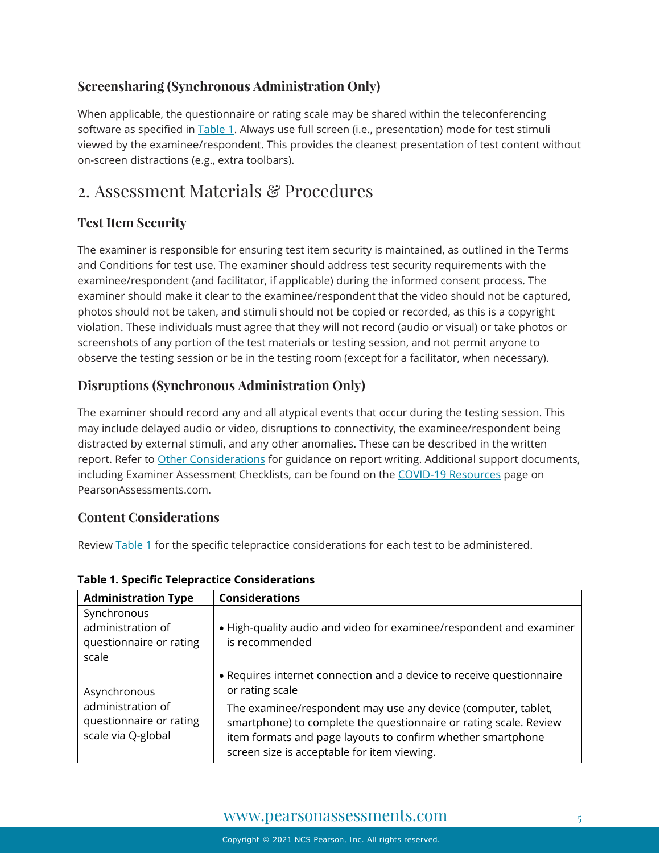#### **Screensharing (Synchronous Administration Only)**

When applicable, the questionnaire or rating scale may be shared within the teleconferencing software as specified i[n Table 1.](#page-4-1) Always use full screen (i.e., presentation) mode for test stimuli viewed by the examinee/respondent. This provides the cleanest presentation of test content without on-screen distractions (e.g., extra toolbars).

### <span id="page-4-0"></span>2. Assessment Materials & Procedures

#### **Test Item Security**

The examiner is responsible for ensuring test item security is maintained, as outlined in the Terms and Conditions for test use. The examiner should address test security requirements with the examinee/respondent (and facilitator, if applicable) during the informed consent process. The examiner should make it clear to the examinee/respondent that the video should not be captured, photos should not be taken, and stimuli should not be copied or recorded, as this is a copyright violation. These individuals must agree that they will not record (audio or visual) or take photos or screenshots of any portion of the test materials or testing session, and not permit anyone to observe the testing session or be in the testing room (except for a facilitator, when necessary).

#### **Disruptions (Synchronous Administration Only)**

The examiner should record any and all atypical events that occur during the testing session. This may include delayed audio or video, disruptions to connectivity, the examinee/respondent being distracted by external stimuli, and any other anomalies. These can be described in the written report. Refer to [Other Considerations](#page-7-0) for guidance on report writing. Additional support documents, including Examiner Assessment Checklists, can be found on the [COVID-19 Resources](https://www.pearsonassessments.com/professional-assessments/digital-solutions/telepractice/resources.html) page on PearsonAssessments.com.

#### **Content Considerations**

Review **Table 1** for the specific telepractice considerations for each test to be administered.

| <b>Administration Type</b>                                           | <b>Considerations</b>                                                                                                                                                                                                                            |
|----------------------------------------------------------------------|--------------------------------------------------------------------------------------------------------------------------------------------------------------------------------------------------------------------------------------------------|
| Synchronous<br>administration of<br>questionnaire or rating<br>scale | • High-quality audio and video for examinee/respondent and examiner<br>is recommended                                                                                                                                                            |
| Asynchronous                                                         | • Requires internet connection and a device to receive questionnaire<br>or rating scale                                                                                                                                                          |
| administration of<br>questionnaire or rating<br>scale via Q-global   | The examinee/respondent may use any device (computer, tablet,<br>smartphone) to complete the questionnaire or rating scale. Review<br>item formats and page layouts to confirm whether smartphone<br>screen size is acceptable for item viewing. |

#### <span id="page-4-1"></span>**Table 1. Specific Telepractice Considerations**

#### [www.pearsonassessments.com](http://www.pearsonassessments.com/) 5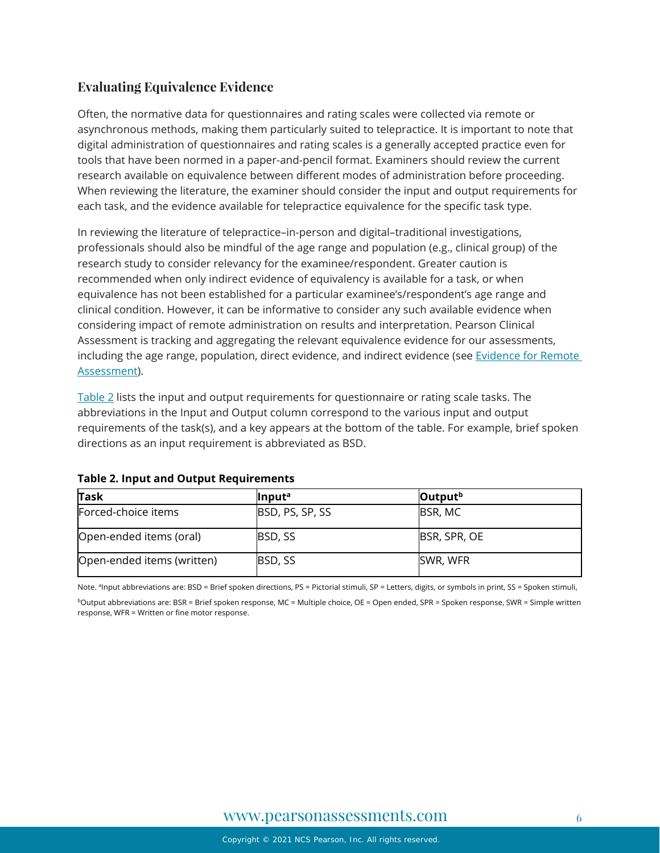#### **Evaluating Equivalence Evidence**

Often, the normative data for questionnaires and rating scales were collected via remote or asynchronous methods, making them particularly suited to telepractice. It is important to note that digital administration of questionnaires and rating scales is a generally accepted practice even for tools that have been normed in a paper-and-pencil format. Examiners should review the current research available on equivalence between different modes of administration before proceeding. When reviewing the literature, the examiner should consider the input and output requirements for each task, and the evidence available for telepractice equivalence for the specific task type.

In reviewing the literature of telepractice–in-person and digital–traditional investigations, professionals should also be mindful of the age range and population (e.g., clinical group) of the research study to consider relevancy for the examinee/respondent. Greater caution is recommended when only indirect evidence of equivalency is available for a task, or when equivalence has not been established for a particular examinee's/respondent's age range and clinical condition. However, it can be informative to consider any such available evidence when considering impact of remote administration on results and interpretation. Pearson Clinical Assessment is tracking and aggregating the relevant equivalence evidence for our assessments, including the age range, population, direct evidence, and indirect evidence (see Evidence for Remote [Assessment\)](https://www.pearsonassessments.com/content/dam/school/global/clinical/us/assets/telepractice/equivalence-evidence-for-remote-assessment.pdf).

[Table 2](#page-5-1) lists the input and output requirements for questionnaire or rating scale tasks. The abbreviations in the Input and Output column correspond to the various input and output requirements of the task(s), and a key appears at the bottom of the table. For example, brief spoken directions as an input requirement is abbreviated as BSD.

| Task                       | linput <sup>a</sup> | Output <sup>b</sup> |  |
|----------------------------|---------------------|---------------------|--|
| Forced-choice items        | BSD, PS, SP, SS     | <b>BSR, MC</b>      |  |
| Open-ended items (oral)    | <b>BSD, SS</b>      | <b>BSR, SPR, OE</b> |  |
| Open-ended items (written) | <b>BSD, SS</b>      | SWR, WFR            |  |

<span id="page-5-1"></span>

|  |  |  |  | <b>Table 2. Input and Output Requirements</b> |
|--|--|--|--|-----------------------------------------------|
|--|--|--|--|-----------------------------------------------|

Note. <sup>a</sup>Input abbreviations are: BSD = Brief spoken directions, PS = Pictorial stimuli, SP = Letters, digits, or symbols in print, SS = Spoken stimuli,

<span id="page-5-0"></span>bOutput abbreviations are: BSR = Brief spoken response, MC = Multiple choice, OE = Open ended, SPR = Spoken response, SWR = Simple written response, WFR = Written or fine motor response.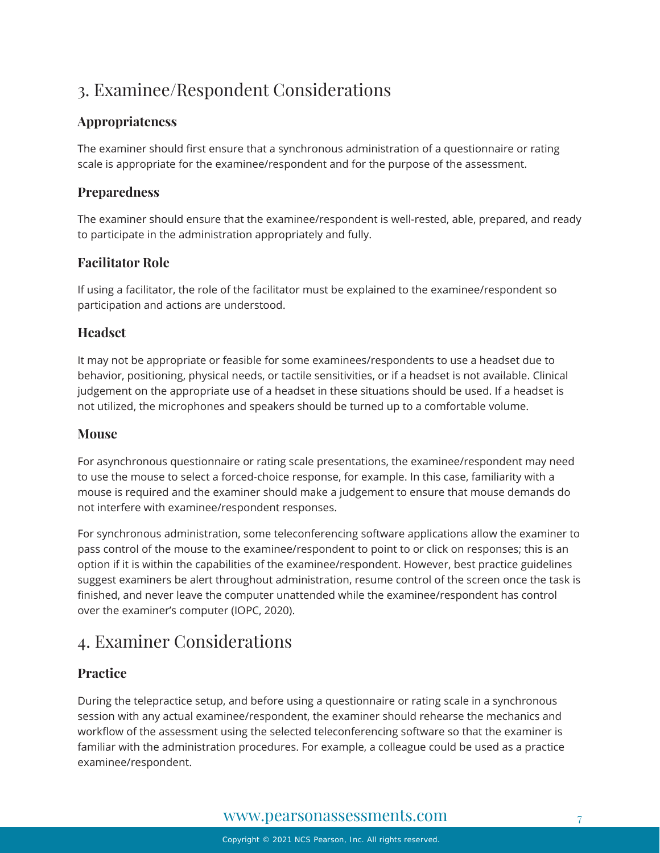# 3. Examinee/Respondent Considerations

#### **Appropriateness**

The examiner should first ensure that a synchronous administration of a questionnaire or rating scale is appropriate for the examinee/respondent and for the purpose of the assessment.

#### **Preparedness**

The examiner should ensure that the examinee/respondent is well-rested, able, prepared, and ready to participate in the administration appropriately and fully.

#### **Facilitator Role**

If using a facilitator, the role of the facilitator must be explained to the examinee/respondent so participation and actions are understood.

#### **Headset**

It may not be appropriate or feasible for some examinees/respondents to use a headset due to behavior, positioning, physical needs, or tactile sensitivities, or if a headset is not available. Clinical judgement on the appropriate use of a headset in these situations should be used. If a headset is not utilized, the microphones and speakers should be turned up to a comfortable volume.

#### **Mouse**

For asynchronous questionnaire or rating scale presentations, the examinee/respondent may need to use the mouse to select a forced-choice response, for example. In this case, familiarity with a mouse is required and the examiner should make a judgement to ensure that mouse demands do not interfere with examinee/respondent responses.

For synchronous administration, some teleconferencing software applications allow the examiner to pass control of the mouse to the examinee/respondent to point to or click on responses; this is an option if it is within the capabilities of the examinee/respondent. However, best practice guidelines suggest examiners be alert throughout administration, resume control of the screen once the task is finished, and never leave the computer unattended while the examinee/respondent has control over the examiner's computer (IOPC, 2020).

# <span id="page-6-0"></span>4. Examiner Considerations

#### **Practice**

During the telepractice setup, and before using a questionnaire or rating scale in a synchronous session with any actual examinee/respondent, the examiner should rehearse the mechanics and workflow of the assessment using the selected teleconferencing software so that the examiner is familiar with the administration procedures. For example, a colleague could be used as a practice examinee/respondent.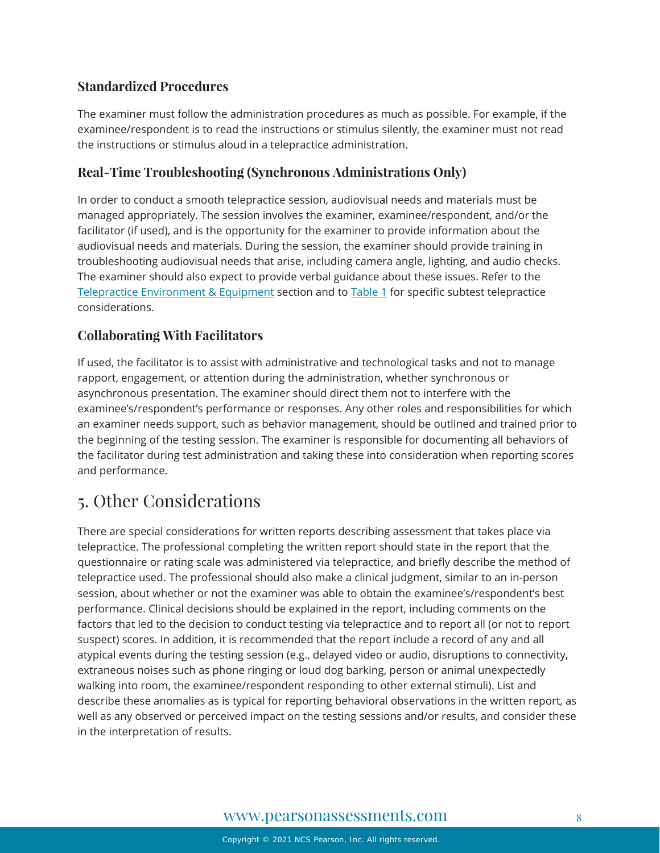#### **Standardized Procedures**

The examiner must follow the administration procedures as much as possible. For example, if the examinee/respondent is to read the instructions or stimulus silently, the examiner must not read the instructions or stimulus aloud in a telepractice administration.

#### **Real-Time Troubleshooting (Synchronous Administrations Only)**

In order to conduct a smooth telepractice session, audiovisual needs and materials must be managed appropriately. The session involves the examiner, examinee/respondent, and/or the facilitator (if used), and is the opportunity for the examiner to provide information about the audiovisual needs and materials. During the session, the examiner should provide training in troubleshooting audiovisual needs that arise, including camera angle, lighting, and audio checks. The examiner should also expect to provide verbal guidance about these issues. Refer to the [Telepractice Environment & Equipment](#page-2-0) section and t[o Table 1](#page-4-1) for specific subtest telepractice considerations.

#### **Collaborating With Facilitators**

If used, the facilitator is to assist with administrative and technological tasks and not to manage rapport, engagement, or attention during the administration, whether synchronous or asynchronous presentation. The examiner should direct them not to interfere with the examinee's/respondent's performance or responses. Any other roles and responsibilities for which an examiner needs support, such as behavior management, should be outlined and trained prior to the beginning of the testing session. The examiner is responsible for documenting all behaviors of the facilitator during test administration and taking these into consideration when reporting scores and performance.

# <span id="page-7-0"></span>5. Other Considerations

There are special considerations for written reports describing assessment that takes place via telepractice. The professional completing the written report should state in the report that the questionnaire or rating scale was administered via telepractice, and briefly describe the method of telepractice used. The professional should also make a clinical judgment, similar to an in-person session, about whether or not the examiner was able to obtain the examinee's/respondent's best performance. Clinical decisions should be explained in the report, including comments on the factors that led to the decision to conduct testing via telepractice and to report all (or not to report suspect) scores. In addition, it is recommended that the report include a record of any and all atypical events during the testing session (e.g., delayed video or audio, disruptions to connectivity, extraneous noises such as phone ringing or loud dog barking, person or animal unexpectedly walking into room, the examinee/respondent responding to other external stimuli). List and describe these anomalies as is typical for reporting behavioral observations in the written report, as well as any observed or perceived impact on the testing sessions and/or results, and consider these in the interpretation of results.